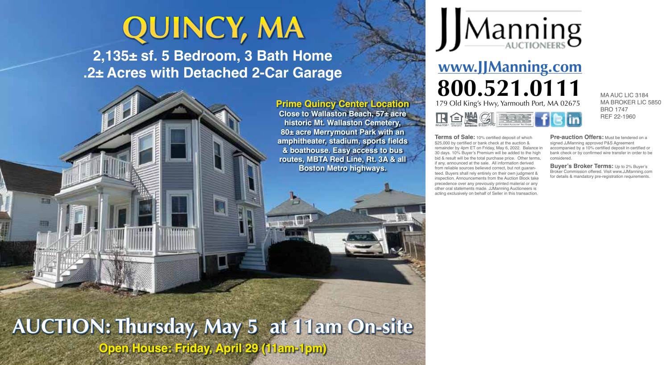## **QUINCY, MA**

**2,135± sf. 5 Bedroom, 3 Bath Home .2± Acres with Detached 2-Car Garage**

> **Prime Quincy Center Location Close to Wallaston Beach, 57± acre historic Mt. Wallaston Cemetery,**

**80± acre Merrymount Park with an amphitheater, stadium, sports fields & boathouse. Easy access to bus routes, MBTA Red Line, Rt. 3A & all Boston Metro highways.**



**www.JJManning.com 800.521.0111** MAAUC LIC 3184 179 Old King's Hwy, Yarmouth Port, MA 02675 **R 白烛 剑 三王** 

MA BROKER LIC 5850 BRO 1747 REF 22-1960

**Terms of Sale:** 10% certified deposit of which \$25,000 by certified or bank check at the auction & remainder by 4pm ET on Friday, May 6, 2022. Balance in 30 days. 10% Buyer's Premium will be added to the high bid & result will be the total purchase price. Other terms, if any, announced at the sale. All information derived from reliable sources believed correct, but not quaranteed. Buyers shall rely entirely on their own judgment & inspection. Announcements from the Auction Block take precedence over any previously printed material or any other oral statements made. JJManning Auctioneers is acting exclusively on behalf of Seller in this transaction.

**Pre-auction Offers:** Must be tendered on a signed JJManning approved P&S Agreement accompanied by a 10% certified deposit in certified or bank check or by confirmed wire transfer in order to be considered.

**Buyer's Broker Terms:** Up to 2% Buyer's Broker Commission offered. Visit www.JJManning.com for details & mandatory pre-registration requirements.

**AUCTION: Thursday, May 5 at 11am On-site Open House: Friday, April 29 (11am-1pm)**